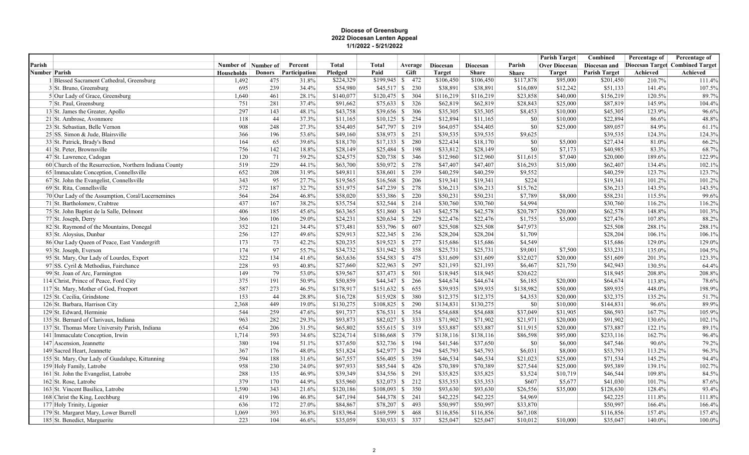## Diocese of Greensburg 2022 Diocesan Lenten Appeal 1/1/2022 - 5/21/2022

|                                                                         |            |                       |                |                      |                     |                                    |                      |                      |                     | <b>Parish Target</b> | Combined             | Percentage of  | Percentage of                   |
|-------------------------------------------------------------------------|------------|-----------------------|----------------|----------------------|---------------------|------------------------------------|----------------------|----------------------|---------------------|----------------------|----------------------|----------------|---------------------------------|
| Parish                                                                  |            | Number of   Number of | Percent        | <b>Total</b>         | Total               | Average                            | Diocesan             | Diocesan             | Parish              | <b>Over Diocesan</b> | Diocesan and         |                | Diocesan Target Combined Target |
| <b>Number Parish</b>                                                    | Households | <b>Donors</b>         | Participation  | Pledged              | Paid                | Gift                               | <b>Target</b>        | <b>Share</b>         | <b>Share</b>        | <b>Target</b>        | <b>Parish Target</b> | Achieved       | Achieved                        |
| 1 Blessed Sacrament Cathedral, Greensburg                               | 1,492      | 475                   | 31.8%          | \$224,329            | $$199,945$ \ \$ 472 |                                    | \$106,450            | \$106,450            | \$117,878           | \$95,000             | \$201,450            | 210.7%         | 111.4%                          |
| 3 St. Bruno, Greensburg                                                 | 695        | 239                   | 34.4%          | \$54,980             |                     | 230                                | \$38,891             | \$38,891             | \$16,089            | \$12,242             | \$51,133             | 141.4%         | 107.5%                          |
| 5 Our Lady of Grace, Greensburg                                         | 1,640      | 461                   | 28.1%          | \$140,077            |                     | 304                                | \$116,219            | \$116,219            | \$23,858            | \$40,000             | \$156,219            | 120.5%         | 89.7%                           |
| 7 St. Paul, Greensburg                                                  | 751        | 281                   | 37.4%          | \$91,662             |                     | 326                                | \$62,819             | \$62,819             | \$28,843            | \$25,000             | \$87,819             | 145.9%         | 104.4%                          |
| 13 St. James the Greater, Apollo                                        | 297        | 143                   | 48.1%          | \$43,758             |                     | \$39,656 \$ 306                    | \$35,305             | \$35,305             | \$8,453             | \$10,000             | \$45,305             | 123.9%         | 96.6%                           |
| 21 St. Ambrose, Avonmore                                                | 118        | $44\,$                | 37.3%          | \$11,165             |                     | 254                                | \$12,894             | \$11,165             | $ S_0 $             | \$10,000             | \$22,894             | 86.6%          | 48.8%                           |
| 23 St. Sebastian, Belle Vernon                                          | 908        | 248                   | 27.3%          | \$54,405             |                     | 219                                | \$64,057             | \$54,405             | \$0                 | \$25,000             | \$89,057             | 84.9%          | 61.1%                           |
| 25 SS. Simon & Jude, Blairsville                                        | 366<br>164 | 196                   | 53.6%          | \$49,160             |                     | 251                                | \$39,535             | \$39,535             | \$9,625             |                      | \$39,535             | 124.3%         | 124.3%                          |
| 33 St. Patrick, Brady's Bend                                            | 756        | 65<br>142             | 39.6%<br>18.8% | \$18,170             |                     | 280                                | \$22,434             | \$18,170             | \$0                 | \$5,000              | \$27,434             | 81.0%<br>83.3% | 66.2%<br>68.7%                  |
| 41 St. Peter, Brownsville                                               | 120        | 71                    | 59.2%          | \$28,149             |                     | 198<br>346                         | \$33,812<br>\$12,960 | \$28,149<br>\$12,960 | $ S_0 $<br>\$11,615 | \$7,173              | \$40,985             | 189.6%         | 122.9%                          |
| 47 St. Lawrence, Cadogan                                                | 519        | 229                   | 44.1%          | \$24,575             |                     |                                    |                      | \$47,407             |                     | \$7,040              | \$20,000             | 134.4%         | 102.1%                          |
| 60 Church of the Resurrection, Northern Indiana County                  | 652        | 208                   | 31.9%          | \$63,700             |                     | 278<br>239                         | \$47,407<br>\$40,259 | \$40,259             | \$16,293<br>\$9,552 | \$15,000             | \$62,407<br>\$40,259 | 123.7%         | 123.7%                          |
| 65 Immaculate Conception, Connellsville                                 | 343        | 95                    | 27.7%          | \$49,811<br>\$19,565 | \$38,601            | $\mathbb{S}$<br>\$16,568 \$ 206    | \$19,341             | \$19,341             | \$224               |                      | \$19,341             | 101.2%         | 101.2%                          |
| 67 St. John the Evangelist, Connellsville<br>69 St. Rita, Connellsville | 572        | 187                   | 32.7%          | \$51,975             |                     | 278                                | \$36,213             | \$36,213             | \$15,762            |                      | \$36,213             | 143.5%         | 143.5%                          |
| 70 Our Lady of the Assumption, Coral/Lucernemines                       | 564        | 264                   | 46.8%          | \$58,020             |                     | $$53,386$ \$ 220                   | \$50,231             | \$50,231             | \$7,789             | \$8,000              | \$58,231             | 115.5%         | 99.6%                           |
| 71 St. Bartholomew, Crabtree                                            | 437        | 167                   | 38.2%          | \$35,754             |                     | 214                                | \$30,760             | \$30,760             | \$4,994             |                      | \$30,760             | 116.2%         | 116.2%                          |
| 75 St. John Baptist de la Salle, Delmont                                | 406        | 185                   | 45.6%          | \$63,365             |                     | $$51,860$ $\overline{\text{S}$ 343 | \$42,578             | \$42,578             | \$20,787            | \$20,000             | \$62,578             | 148.8%         | 101.3%                          |
|                                                                         | 366        | 106                   | 29.0%          | \$24,231             | $$20,634$ \$        | 229                                | \$22,476             | \$22,476             | \$1,755             | \$5,000              | \$27,476             | 107.8%         | 88.2%                           |
| 77 St. Joseph, Derry<br>82 St. Raymond of the Mountains, Donegal        | 352        | 121                   | 34.4%          | \$73,481             |                     | 607                                | \$25,508             | \$25,508             | \$47,973            |                      | \$25,508             | 288.1%         | 288.1%                          |
| 83 St. Aloysius, Dunbar                                                 | 256        | 127                   | 49.6%          | \$29,913             |                     | 236                                | \$28,204             | \$28,204             | \$1,709             |                      | \$28,204             | 106.1%         | 106.1%                          |
| 86 Our Lady Queen of Peace, East Vandergrift                            | 173        | 73                    | 42.2%          | \$20,235             |                     | 277                                | \$15,686             | \$15,686             | \$4,549             |                      | \$15,686             | 129.0%         | 129.0%                          |
| 93 St. Joseph, Everson                                                  | 174        | 97                    | 55.7%          | \$34,732             |                     | 358                                | \$25,731             | \$25,731             | \$9,001             | \$7,500              | \$33,231             | 135.0%         | 104.5%                          |
| 95 St. Mary, Our Lady of Lourdes, Export                                | 322        | 134                   | 41.6%          | \$63,636             |                     | 475                                | \$31,609             | \$31,609             | \$32,027            | \$20,000             | \$51,609             | 201.3%         | 123.3%                          |
| 97 SS. Cyril & Methodius, Fairchance                                    | 228        | 93                    | 40.8%          | \$27,660             |                     | $$22,963$ \$ 297                   | \$21,193             | \$21,193             | \$6,467             | \$21,750             | \$42,943             | 130.5%         | 64.4%                           |
| 99 St. Joan of Arc, Farmington                                          | 149        | 79                    | 53.0%          | \$39,567             |                     | 501                                | \$18,945             | \$18,945             | \$20,622            |                      | \$18,945             | 208.8%         | 208.8%                          |
| 114 Christ, Prince of Peace, Ford City                                  | 375        | 191                   | 50.9%          | \$50,859             |                     | 266                                | \$44,674             | \$44,674             | \$6,185             | \$20,000             | \$64,674             | 113.8%         | 78.6%                           |
| 117 St. Mary, Mother of God, Freeport                                   | 587        | 273                   | 46.5%          | \$178,917            |                     | 655                                | \$39,935             | \$39,935             | \$138,982           | \$50,000             | \$89,935             | 448.0%         | 198.9%                          |
| 125 St. Cecilia, Grindstone                                             | 153        | 44                    | 28.8%          | \$16,728             |                     | 380                                | \$12,375             | \$12,375             | \$4,353             | \$20,000             | \$32,375             | 135.2%         | 51.7%                           |
| 126 St. Barbara, Harrison City                                          | 2,368      | 449                   | 19.0%          | \$130,275            |                     | 290                                | \$134,831            | \$130,275            | \$0                 | \$10,000             | \$144,831            | 96.6%          | 89.9%                           |
| 129 St. Edward, Herminie                                                | 544        | 259                   | 47.6%          | \$91,737             |                     | $$76,531$ \ \$ 354                 | \$54,688             | \$54,688             | \$37,049            | \$31,905             | \$86,593             | 167.7%         | 105.9%                          |
| 135 St. Bernard of Clarivaux, Indiana                                   | 963        | 282                   | 29.3%          | \$93,873             |                     | \$82,027 \$ 333                    | \$71,902             | \$71,902             | \$21,971            | \$20,000             | \$91,902             | 130.6%         | 102.1%                          |
| 137 St. Thomas More University Parish, Indiana                          | 654        | 206                   | 31.5%          | \$65,802             |                     | $$55,615$ \$ 319                   | \$53,887             | \$53,887             | \$11,915            | \$20,000             | \$73,887             | 122.1%         | 89.1%                           |
| 141 Immaculate Conception, Irwin                                        | 1,714      | 593                   | 34.6%          | \$224,714            | $$186,668$ \$ 379   |                                    | \$138,116            | \$138,116            | \$86,598            | \$95,000             | \$233,116            | 162.7%         | 96.4%                           |
| 147 Ascension, Jeannette                                                | 380        | 194                   | 51.1%          | \$37,650             |                     | 194                                | \$41,546             | \$37,650             | \$0                 | \$6,000              | \$47,546             | 90.6%          | 79.2%                           |
| 149 Sacred Heart, Jeannette                                             | 367        | 176                   | 48.0%          | \$51,824             |                     | 294                                | \$45,793             | \$45,793             | \$6,031             | \$8,000              | \$53,793             | 113.2%         | 96.3%                           |
| 155 St. Mary, Our Lady of Guadalupe, Kittanning                         | 594        | 188                   | 31.6%          | \$67,557             |                     | 359                                | \$46,534             | \$46,534             | \$21,023            | \$25,000             | \$71,534             | 145.2%         | 94.4%                           |
| 159 Holy Family, Latrobe                                                | 958        | 230                   | 24.0%          | \$97,933             |                     | 426                                | \$70,389             | \$70,389             | \$27,544            | \$25,000             | \$95,389             | 139.1%         | 102.7%                          |
| 161 St. John the Evangelist, Latrobe                                    | 288        | 135                   | 46.9%          | \$39,349             |                     | 291                                | \$35,825             | \$35,825             | \$3,524             | \$10,719             | \$46,544             | 109.8%         | 84.5%                           |
| 162 St. Rose, Latrobe                                                   | 379        | 170                   | 44.9%          | \$35,960             |                     | 212                                | \$35,353             | \$35,353             | \$607               | \$5,677              | \$41,030             | 101.7%         | 87.6%                           |
| 163 St. Vincent Basilica, Latrobe                                       | 1,590      | 343                   | 21.6%          | \$120,186            |                     | 350                                | \$93,630             | \$93,630             | \$26,556            | \$35,000             | \$128,630            | 128.4%         | 93.4%                           |
| 168 Christ the King, Leechburg                                          | 419        | 196                   | 46.8%          | \$47,194             |                     | 241                                | \$42,225             | \$42,225             | \$4,969             |                      | \$42,225             | 111.8%         | 111.8%                          |
| 177 Holy Trinity, Ligonier                                              | 636        | 172                   | 27.0%          | \$84,867             |                     | 493                                | \$50,997             | \$50,997             | \$33,870            |                      | \$50,997             | 166.4%         | 166.4%                          |
| 179 St. Margaret Mary, Lower Burrell                                    | 1,069      | 393                   | 36.8%          | \$183,964            | \$169,599           | 468<br>- \$                        | \$116,856            | \$116,856            | \$67,108            |                      | \$116,856            | 157.4%         | 157.4%                          |
| 185 St. Benedict, Marguerite                                            | 223        | 104                   | 46.6%          | \$35,059             |                     | $$30,933$ \$ 337                   | \$25,047             | \$25,047             | \$10,012            | \$10,000             | \$35,047             | 140.0%         | 100.0%                          |